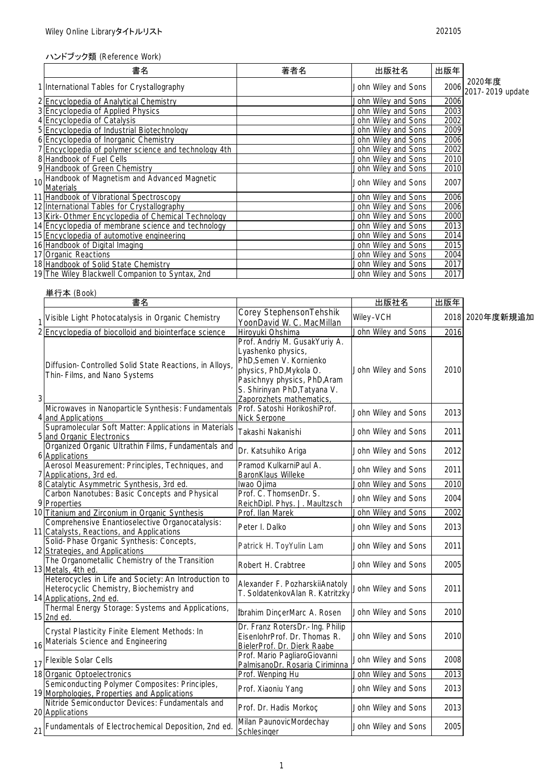## ハンドブック類 (Reference Work)

| 書名                                                                 | 著者名 | 出版社名                | 出版年  |                                       |
|--------------------------------------------------------------------|-----|---------------------|------|---------------------------------------|
| 1 International Tables for Crystallography                         |     | John Wiley and Sons |      | 2020年度<br>$2006$ $2017 - 2019$ update |
| 2 Encyclopedia of Analytical Chemistry                             |     | John Wiley and Sons | 2006 |                                       |
| 3 Encyclopedia of Applied Physics                                  |     | John Wiley and Sons | 2003 |                                       |
| 4 Encyclopedia of Catalysis                                        |     | John Wiley and Sons | 2002 |                                       |
| 5 Encyclopedia of Industrial Biotechnology                         |     | John Wiley and Sons | 2009 |                                       |
| 6 Encyclopedia of Inorganic Chemistry                              |     | John Wiley and Sons | 2006 |                                       |
| 7 Encyclopedia of polymer science and technology 4th               |     | John Wiley and Sons | 2002 |                                       |
| 8 Handbook of Fuel Cells                                           |     | John Wiley and Sons | 2010 |                                       |
| 9 Handbook of Green Chemistry                                      |     | John Wiley and Sons | 2010 |                                       |
| 10 Handbook of Magnetism and Advanced Magnetic<br><b>Materials</b> |     | John Wiley and Sons | 2007 |                                       |
| 11 Handbook of Vibrational Spectroscopy                            |     | John Wiley and Sons | 2006 |                                       |
| 12 International Tables for Crystallography                        |     | John Wiley and Sons | 2006 |                                       |
| 13 Kirk-Othmer Encyclopedia of Chemical Technology                 |     | John Wiley and Sons | 2000 |                                       |
| 14 Encyclopedia of membrane science and technology                 |     | John Wiley and Sons | 2013 |                                       |
| 15 Encyclopedia of automotive engineering                          |     | John Wiley and Sons | 2014 |                                       |
| 16 Handbook of Digital Imaging                                     |     | John Wiley and Sons | 2015 |                                       |
| 17 Organic Reactions                                               |     | John Wiley and Sons | 2004 |                                       |
| 18 Handbook of Solid State Chemistry                               |     | John Wiley and Sons | 2017 |                                       |
| 19 The Wiley Blackwell Companion to Syntax, 2nd                    |     | John Wiley and Sons | 2017 |                                       |

|   | 単行本 (Book)<br>書名                                                                                                             |                                                                                                                                                                                                      | 出版社名                | 出版年  |                 |
|---|------------------------------------------------------------------------------------------------------------------------------|------------------------------------------------------------------------------------------------------------------------------------------------------------------------------------------------------|---------------------|------|-----------------|
|   | Visible Light Photocatalysis in Organic Chemistry                                                                            | Corey StephensonTehshik<br>YoonDavid W. C. MacMillan                                                                                                                                                 | Wiley-VCH           |      | 2018 2020年度新規追加 |
|   | 2 Encyclopedia of biocolloid and biointerface science                                                                        | Hiroyuki Ohshima                                                                                                                                                                                     | John Wiley and Sons | 2016 |                 |
| 3 | Diffusion-Controlled Solid State Reactions, in Alloys,<br>Thin-Films, and Nano Systems                                       | Prof. Andriy M. GusakYuriy A.<br>Lyashenko physics,<br>PhD, Semen V. Kornienko<br>physics, PhD, Mykola O.<br>Pasichnyy physics, PhD, Aram<br>S. Shirinyan PhD, Tatyana V.<br>Zaporozhets mathematics | John Wiley and Sons | 2010 |                 |
|   | Microwaves in Nanoparticle Synthesis: Fundamentals<br>4 and Applications                                                     | Prof. Satoshi HorikoshiProf.<br><b>Nick Serpone</b>                                                                                                                                                  | John Wiley and Sons | 2013 |                 |
|   | Supramolecular Soft Matter: Applications in Materials<br>5 and Organic Electronics                                           | Takashi Nakanishi                                                                                                                                                                                    | John Wiley and Sons | 2011 |                 |
|   | Organized Organic Ultrathin Films, Fundamentals and<br>6 Applications                                                        | Dr. Katsuhiko Ariga                                                                                                                                                                                  | John Wiley and Sons | 2012 |                 |
|   | Aerosol Measurement: Principles, Techniques, and<br>7 Applications, 3rd ed.                                                  | Pramod KulkarniPaul A.<br>BaronKlaus Willeke                                                                                                                                                         | John Wiley and Sons | 2011 |                 |
|   | 8 Catalytic Asymmetric Synthesis, 3rd ed.                                                                                    | Iwao Ojima                                                                                                                                                                                           | John Wiley and Sons | 2010 |                 |
|   | Carbon Nanotubes: Basic Concepts and Physical<br>9 Properties                                                                | Prof. C. ThomsenDr. S.<br>ReichDipl. Phys. J. Maultzsch                                                                                                                                              | John Wiley and Sons | 2004 |                 |
|   | 10 Titanium and Zirconium in Organic Synthesis                                                                               | Prof. Ilan Marek                                                                                                                                                                                     | John Wiley and Sons | 2002 |                 |
|   | Comprehensive Enantioselective Organocatalysis:<br>11 Catalysts, Reactions, and Applications                                 | Peter I. Dalko                                                                                                                                                                                       | John Wiley and Sons | 2013 |                 |
|   | Solid-Phase Organic Synthesis: Concepts,<br>12 Strategies, and Applications                                                  | Patrick H. ToyYulin Lam                                                                                                                                                                              | John Wiley and Sons | 2011 |                 |
|   | The Organometallic Chemistry of the Transition<br>13 Metals, 4th ed.                                                         | Robert H. Crabtree                                                                                                                                                                                   | John Wiley and Sons | 2005 |                 |
|   | Heterocycles in Life and Society: An Introduction to<br>Heterocyclic Chemistry, Biochemistry and<br>14 Applications, 2nd ed. | Alexander F. PozharskiiAnatoly<br>T. SoldatenkovAlan R. Katritzky                                                                                                                                    | John Wiley and Sons | 2011 |                 |
|   | Thermal Energy Storage: Systems and Applications,<br>15 2nd ed.                                                              | İbrahim DinçerMarc A. Rosen                                                                                                                                                                          | John Wiley and Sons | 2010 |                 |
|   | Crystal Plasticity Finite Element Methods: In<br>16 Materials Science and Engineering                                        | Dr. Franz RotersDr.-Ing. Philip<br>EisenlohrProf. Dr. Thomas R.<br>BielerProf. Dr. Dierk Raabe                                                                                                       | John Wiley and Sons | 2010 |                 |
|   | 17 Flexible Solar Cells                                                                                                      | Prof. Mario PagliaroGiovanni<br>PalmisanoDr. Rosaria Ciriminna                                                                                                                                       | John Wiley and Sons | 2008 |                 |
|   | 18 Organic Optoelectronics                                                                                                   | Prof. Wenping Hu                                                                                                                                                                                     | John Wiley and Sons | 2013 |                 |
|   | Semiconducting Polymer Composites: Principles,<br>19 Morphologies, Properties and Applications                               | Prof. Xiaoniu Yang                                                                                                                                                                                   | John Wiley and Sons | 2013 |                 |
|   | Nitride Semiconductor Devices: Fundamentals and<br>20 Applications                                                           | Prof. Dr. Hadis Morkoç                                                                                                                                                                               | John Wiley and Sons | 2013 |                 |
|   | 21 Fundamentals of Electrochemical Deposition, 2nd ed.                                                                       | Milan PaunovicMordechay<br>Schlesinger                                                                                                                                                               | John Wiley and Sons | 2005 |                 |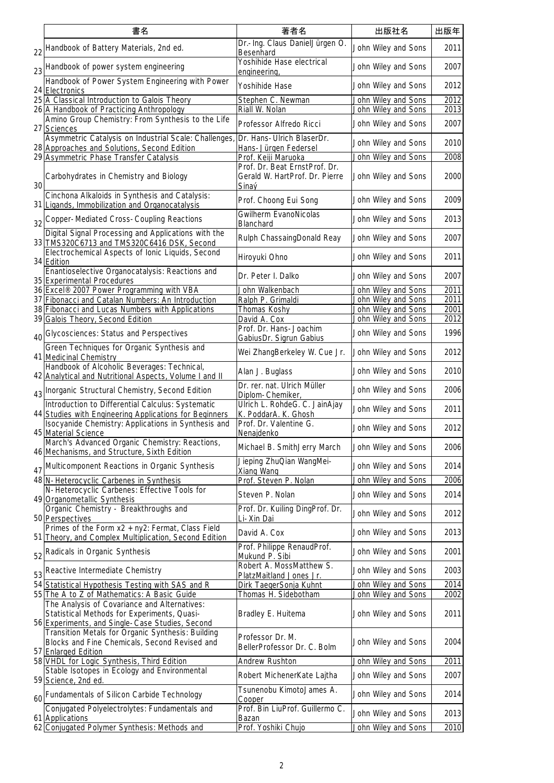|    | 書名                                                                                                                                                    | 著者名                                                    | 出版社名                                       | 出版年          |
|----|-------------------------------------------------------------------------------------------------------------------------------------------------------|--------------------------------------------------------|--------------------------------------------|--------------|
|    | 22 Handbook of Battery Materials, 2nd ed.                                                                                                             | Dr.-Ing. Claus DanielJürgen O.<br>Besenhard            | John Wiley and Sons                        | 2011         |
|    | 23 Handbook of power system engineering                                                                                                               | Yoshihide Hase electrical<br>engineering,              | John Wiley and Sons                        | 2007         |
|    | Handbook of Power System Engineering with Power<br>24 Electronics                                                                                     | Yoshihide Hase                                         | John Wiley and Sons                        | 2012         |
|    | 25 A Classical Introduction to Galois Theory                                                                                                          | Stephen C. Newman                                      | John Wiley and Sons                        | 2012         |
|    | 26 A Handbook of Practicing Anthropology<br>Amino Group Chemistry: From Synthesis to the Life                                                         | Riall W. Nolan<br>Professor Alfredo Ricci              | John Wiley and Sons<br>John Wiley and Sons | 2013<br>2007 |
|    | 27 Sciences<br>Asymmetric Catalysis on Industrial Scale: Challenges                                                                                   | Dr. Hans-Ulrich BlaserDr.                              |                                            |              |
|    | 28 Approaches and Solutions, Second Edition                                                                                                           | Hans-Jürgen Federsel                                   | John Wiley and Sons                        | 2010         |
|    | 29 Asymmetric Phase Transfer Catalysis                                                                                                                | Prof. Keiji Maruoka<br>Prof. Dr. Beat ErnstProf. Dr.   | John Wiley and Sons                        | 2008         |
| 30 | Carbohydrates in Chemistry and Biology                                                                                                                | Gerald W. HartProf. Dr. Pierre<br>Sinaý                | John Wiley and Sons                        | 2000         |
|    | Cinchona Alkaloids in Synthesis and Catalysis:<br>31 Ligands, Immobilization and Organocatalysis                                                      | Prof. Choong Eui Song                                  | John Wiley and Sons                        | 2009         |
|    | 32 Copper-Mediated Cross-Coupling Reactions                                                                                                           | Gwilherm EvanoNicolas<br>Blanchard                     | John Wiley and Sons                        | 2013         |
|    | Digital Signal Processing and Applications with the                                                                                                   | Rulph ChassaingDonald Reay                             | John Wiley and Sons                        | 2007         |
|    | 33 TMS320C6713 and TMS320C6416 DSK, Second<br>Electrochemical Aspects of Ionic Liquids, Second                                                        | Hiroyuki Ohno                                          | John Wiley and Sons                        | 2011         |
|    | 34 Edition<br>Enantioselective Organocatalysis: Reactions and                                                                                         |                                                        |                                            |              |
|    | 35 Experimental Procedures                                                                                                                            | Dr. Peter I. Dalko                                     | John Wiley and Sons                        | 2007         |
|    | 36 Excel <sup>®</sup> 2007 Power Programming with VBA<br>37 Fibonacci and Catalan Numbers: An Introduction                                            | John Walkenbach<br>Ralph P. Grimaldi                   | John Wiley and Sons<br>John Wiley and Sons | 2011<br>2011 |
|    | 38 Fibonacci and Lucas Numbers with Applications                                                                                                      | Thomas Koshy                                           | John Wiley and Sons                        | 2001         |
|    | 39 Galois Theory, Second Edition                                                                                                                      | David A. Cox                                           | John Wiley and Sons                        | 2012         |
|    |                                                                                                                                                       | Prof. Dr. Hans-Joachim                                 |                                            | 1996         |
|    | 40 Glycosciences: Status and Perspectives<br>Green Techniques for Organic Synthesis and                                                               | GabiusDr. Sigrun Gabius                                | John Wiley and Sons                        |              |
|    | 41 Medicinal Chemistry<br>Handbook of Alcoholic Beverages: Technical,                                                                                 | Wei ZhangBerkeley W. Cue Jr.                           | John Wiley and Sons                        | 2012         |
|    | 42 Analytical and Nutritional Aspects, Volume I and II                                                                                                | Alan J. Buglass                                        | John Wiley and Sons                        | 2010         |
|    | 43   Inorganic Structural Chemistry, Second Edition                                                                                                   | Dr. rer. nat. Ulrich Müller<br>Diplom-Chemiker,        | John Wiley and Sons                        | 2006         |
|    | Introduction to Differential Calculus: Systematic<br>44 Studies with Engineering Applications for Beginners                                           | Ulrich L. RohdeG. C. JainAjay<br>K. PoddarA. K. Ghosh  | John Wiley and Sons                        | 2011         |
|    | Isocyanide Chemistry: Applications in Synthesis and<br>45 Material Science                                                                            | Prof. Dr. Valentine G.<br>Nenajdenko                   | John Wiley and Sons                        | 2012         |
|    | March's Advanced Organic Chemistry: Reactions,<br>46 Mechanisms, and Structure, Sixth Edition                                                         | Michael B. SmithJerry March                            | John Wiley and Sons                        | 2006         |
|    | 47 Multicomponent Reactions in Organic Synthesis                                                                                                      | Jieping ZhuQian WangMei-<br>Xiang Wang                 | John Wiley and Sons                        | 2014         |
|    | 48 N-Heterocyclic Carbenes in Synthesis                                                                                                               | Prof. Steven P. Nolan                                  | John Wiley and Sons                        | 2006         |
|    | N-Heterocyclic Carbenes: Effective Tools for<br>49 Organometallic Synthesis                                                                           | Steven P. Nolan                                        | John Wiley and Sons                        | 2014         |
|    | Organic Chemistry - Breakthroughs and<br>50 Perspectives                                                                                              | Prof. Dr. Kuiling DingProf. Dr.<br>Li-Xin Dai          | John Wiley and Sons                        | 2012         |
|    | Primes of the Form x2 + ny2: Fermat, Class Field<br>51 Theory, and Complex Multiplication, Second Edition                                             | David A. Cox                                           | John Wiley and Sons                        | 2013         |
|    | 52 Radicals in Organic Synthesis                                                                                                                      | Prof. Philippe RenaudProf.<br>Mukund P. Sibi           | John Wiley and Sons                        | 2001         |
|    | 53 Reactive Intermediate Chemistry                                                                                                                    | Robert A. MossMatthew S.<br>PlatzMaitland Jones Jr.    | John Wiley and Sons                        | 2003         |
|    | 54 Statistical Hypothesis Testing with SAS and R                                                                                                      | Dirk TaegerSonja Kuhnt                                 | John Wiley and Sons                        | 2014         |
|    | 55 The A to Z of Mathematics: A Basic Guide                                                                                                           | Thomas H. Sidebotham                                   | John Wiley and Sons                        | 2002         |
|    | The Analysis of Covariance and Alternatives:<br>Statistical Methods for Experiments, Quasi-                                                           | Bradley E. Huitema                                     | John Wiley and Sons                        | 2011         |
|    | 56 Experiments, and Single-Case Studies, Second<br>Transition Metals for Organic Synthesis: Building<br>Blocks and Fine Chemicals, Second Revised and | Professor Dr. M.<br>BellerProfessor Dr. C. Bolm        | John Wiley and Sons                        | 2004         |
|    | 57 Enlarged Edition<br>58 VHDL for Logic Synthesis, Third Edition                                                                                     | Andrew Rushton                                         | John Wiley and Sons                        | 2011         |
|    | Stable Isotopes in Ecology and Environmental                                                                                                          |                                                        |                                            |              |
|    | 59 Science, 2nd ed.                                                                                                                                   | Robert MichenerKate Lajtha<br>Tsunenobu KimotoJames A. | John Wiley and Sons                        | 2007         |
|    | 60 Fundamentals of Silicon Carbide Technology                                                                                                         | Cooper                                                 | John Wiley and Sons                        | 2014         |
|    | Conjugated Polyelectrolytes: Fundamentals and<br>61 Applications                                                                                      | Prof. Bin LiuProf. Guillermo C.<br>Bazan               | John Wiley and Sons                        | 2013         |
|    | 62 Conjugated Polymer Synthesis: Methods and                                                                                                          | Prof. Yoshiki Chujo                                    | John Wiley and Sons                        | 2010         |